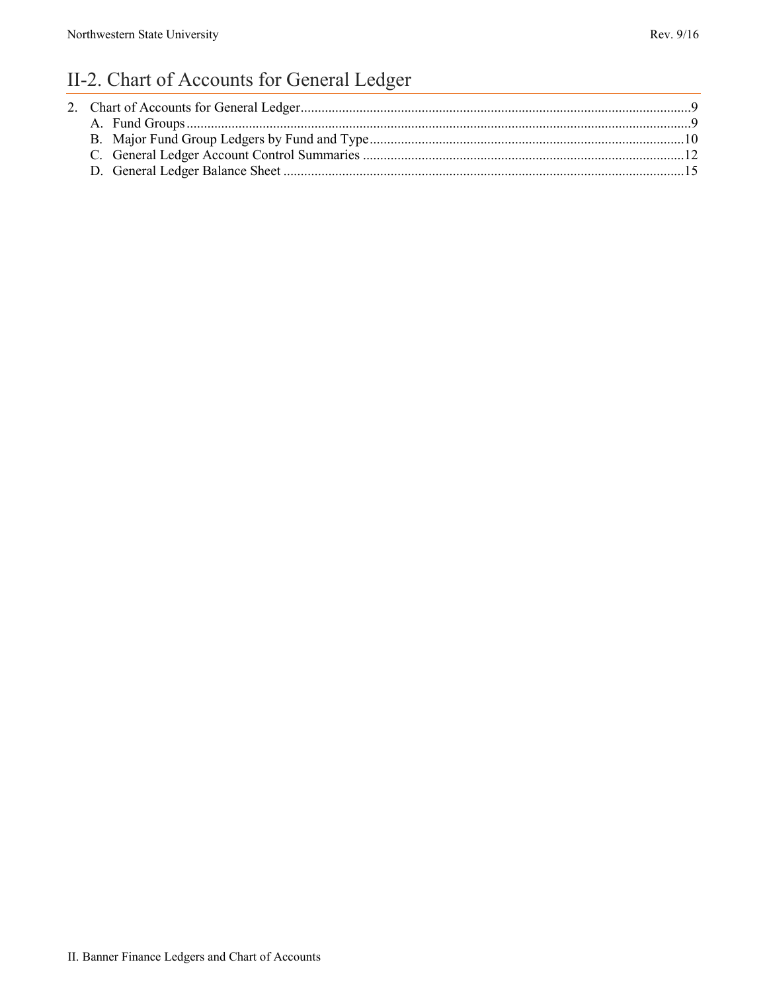# II-2. Chart of Accounts for General Ledger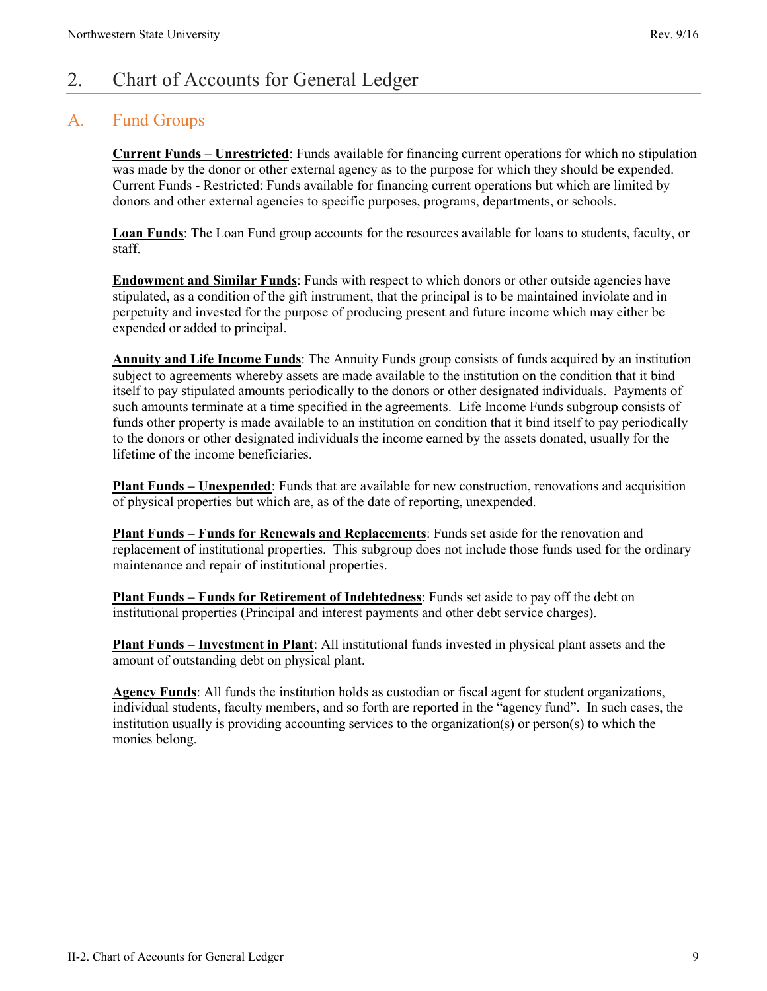### <span id="page-1-0"></span>2. Chart of Accounts for General Ledger

#### <span id="page-1-1"></span>A. Fund Groups

**Current Funds – Unrestricted**: Funds available for financing current operations for which no stipulation was made by the donor or other external agency as to the purpose for which they should be expended. Current Funds - Restricted: Funds available for financing current operations but which are limited by donors and other external agencies to specific purposes, programs, departments, or schools.

**Loan Funds**: The Loan Fund group accounts for the resources available for loans to students, faculty, or staff.

**Endowment and Similar Funds**: Funds with respect to which donors or other outside agencies have stipulated, as a condition of the gift instrument, that the principal is to be maintained inviolate and in perpetuity and invested for the purpose of producing present and future income which may either be expended or added to principal.

**Annuity and Life Income Funds**: The Annuity Funds group consists of funds acquired by an institution subject to agreements whereby assets are made available to the institution on the condition that it bind itself to pay stipulated amounts periodically to the donors or other designated individuals. Payments of such amounts terminate at a time specified in the agreements. Life Income Funds subgroup consists of funds other property is made available to an institution on condition that it bind itself to pay periodically to the donors or other designated individuals the income earned by the assets donated, usually for the lifetime of the income beneficiaries.

**Plant Funds – Unexpended**: Funds that are available for new construction, renovations and acquisition of physical properties but which are, as of the date of reporting, unexpended.

**Plant Funds – Funds for Renewals and Replacements**: Funds set aside for the renovation and replacement of institutional properties. This subgroup does not include those funds used for the ordinary maintenance and repair of institutional properties.

**Plant Funds – Funds for Retirement of Indebtedness**: Funds set aside to pay off the debt on institutional properties (Principal and interest payments and other debt service charges).

**Plant Funds – Investment in Plant**: All institutional funds invested in physical plant assets and the amount of outstanding debt on physical plant.

**Agency Funds**: All funds the institution holds as custodian or fiscal agent for student organizations, individual students, faculty members, and so forth are reported in the "agency fund". In such cases, the institution usually is providing accounting services to the organization(s) or person(s) to which the monies belong.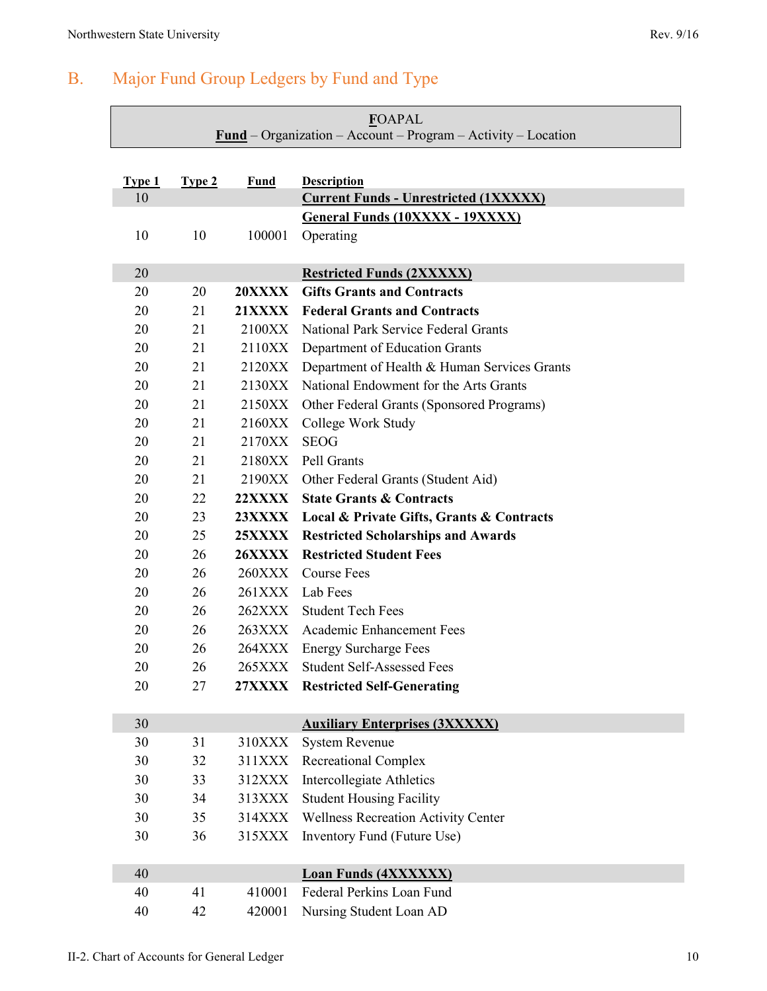## <span id="page-2-0"></span>B. Major Fund Group Ledgers by Fund and Type

| <b>FOAPAL</b><br>$Fund – Organization – Account – Program – Activity – Location$ |          |                                |                                                                                |
|----------------------------------------------------------------------------------|----------|--------------------------------|--------------------------------------------------------------------------------|
|                                                                                  |          |                                |                                                                                |
| Type 1                                                                           | Type 2   | <b>Fund</b>                    | <b>Description</b>                                                             |
| 10                                                                               |          |                                | <b>Current Funds - Unrestricted (1XXXXX)</b>                                   |
|                                                                                  |          |                                | <b>General Funds (10XXXX - 19XXXX)</b>                                         |
| 10                                                                               | 10       | 100001                         | Operating                                                                      |
|                                                                                  |          |                                |                                                                                |
| 20                                                                               |          |                                | <b>Restricted Funds (2XXXXX)</b><br><b>Gifts Grants and Contracts</b>          |
| 20<br>20                                                                         | 20<br>21 | <b>20XXXX</b><br><b>21XXXX</b> | <b>Federal Grants and Contracts</b>                                            |
| 20                                                                               | 21       | 2100XX                         | National Park Service Federal Grants                                           |
| 20                                                                               | 21       | 2110XX                         |                                                                                |
| 20                                                                               | 21       | 2120XX                         | Department of Education Grants<br>Department of Health & Human Services Grants |
| 20                                                                               | 21       | 2130XX                         | National Endowment for the Arts Grants                                         |
| 20                                                                               | 21       | 2150XX                         | Other Federal Grants (Sponsored Programs)                                      |
| 20                                                                               | 21       | 2160XX                         | College Work Study                                                             |
| 20                                                                               | 21       | 2170XX                         | <b>SEOG</b>                                                                    |
| 20                                                                               | 21       | 2180XX                         | Pell Grants                                                                    |
| 20                                                                               | 21       |                                | 2190XX Other Federal Grants (Student Aid)                                      |
| 20                                                                               | 22       | <b>22XXXX</b>                  | <b>State Grants &amp; Contracts</b>                                            |
| 20                                                                               | 23       |                                | 23XXXX Local & Private Gifts, Grants & Contracts                               |
| 20                                                                               | 25       | 25XXXX                         | <b>Restricted Scholarships and Awards</b>                                      |
| <b>Restricted Student Fees</b><br>20<br>26<br><b>26XXXX</b>                      |          |                                |                                                                                |
| 20                                                                               | 26       | <b>260XXX</b>                  | <b>Course Fees</b>                                                             |
| 20                                                                               | 26       |                                | 261XXX Lab Fees                                                                |
| 20                                                                               | 26       | 262XXX                         | <b>Student Tech Fees</b>                                                       |
| 20                                                                               | 26       |                                | 263XXX Academic Enhancement Fees                                               |
| 20                                                                               | 26       | 264XXX                         | <b>Energy Surcharge Fees</b>                                                   |
| 20                                                                               | 26       | 265XXX                         | <b>Student Self-Assessed Fees</b>                                              |
| 20                                                                               | 27       |                                | 27XXXX Restricted Self-Generating                                              |
|                                                                                  |          |                                |                                                                                |
| 30                                                                               |          |                                | <b>Auxiliary Enterprises (3XXXXX)</b>                                          |
| 30                                                                               | 31       | 310XXX                         | <b>System Revenue</b>                                                          |
| 30                                                                               | 32       | 311XXX                         | <b>Recreational Complex</b>                                                    |
| 30                                                                               | 33       | 312XXX                         | Intercollegiate Athletics                                                      |
| 30                                                                               | 34       | 313XXX                         | <b>Student Housing Facility</b>                                                |
| 30                                                                               | 35       | 314XXX                         | <b>Wellness Recreation Activity Center</b>                                     |
| 30                                                                               | 36       | 315XXX                         | Inventory Fund (Future Use)                                                    |
|                                                                                  |          |                                |                                                                                |
| 40                                                                               |          |                                | <b>Loan Funds (4XXXXXX)</b>                                                    |
| 40                                                                               | 41       | 410001                         | Federal Perkins Loan Fund                                                      |
| 40                                                                               | 42       | 420001                         | Nursing Student Loan AD                                                        |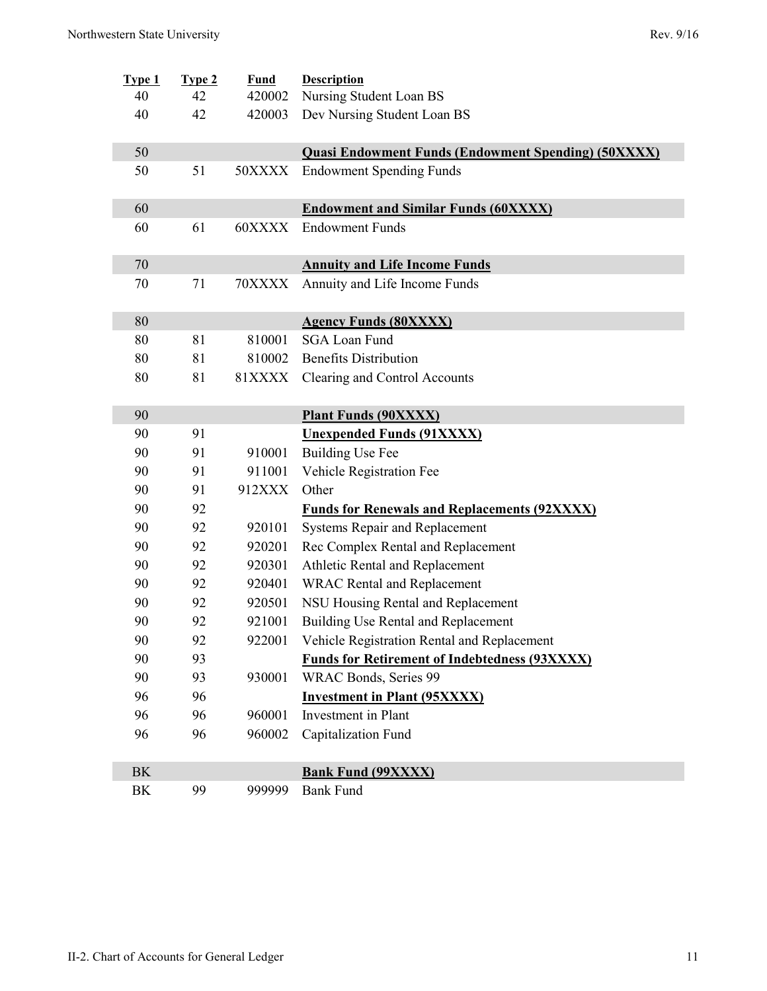| Type 1                | <b>Type 2</b> | Fund          | <b>Description</b>                                         |
|-----------------------|---------------|---------------|------------------------------------------------------------|
| 40                    | 42            | 420002        | Nursing Student Loan BS                                    |
| 40                    | 42            | 420003        | Dev Nursing Student Loan BS                                |
| 50                    |               |               | <b>Quasi Endowment Funds (Endowment Spending) (50XXXX)</b> |
| 50                    | 51            | 50XXXX        | <b>Endowment Spending Funds</b>                            |
|                       |               |               |                                                            |
| 60                    |               |               | <b>Endowment and Similar Funds (60XXXX)</b>                |
| 60                    | 61            | 60XXXX        | <b>Endowment Funds</b>                                     |
|                       |               |               |                                                            |
| 70                    |               |               | <b>Annuity and Life Income Funds</b>                       |
| 70                    | 71            | 70XXXX        | Annuity and Life Income Funds                              |
| 80                    |               |               | <b>Agency Funds (80XXXX)</b>                               |
| 80                    | 81            | 810001        | <b>SGA Loan Fund</b>                                       |
| 80                    | 81            | 810002        | <b>Benefits Distribution</b>                               |
| 80                    | 81            | <b>81XXXX</b> | Clearing and Control Accounts                              |
|                       |               |               |                                                            |
| 90                    |               |               | <b>Plant Funds (90XXXX)</b>                                |
| 90                    | 91            |               | <b>Unexpended Funds (91XXXX)</b>                           |
| 90                    | 91            | 910001        | <b>Building Use Fee</b>                                    |
| 90                    | 91            | 911001        | Vehicle Registration Fee                                   |
| 90                    | 91            | 912XXX        | Other                                                      |
| 90                    | 92            |               | <b>Funds for Renewals and Replacements (92XXXX)</b>        |
| 90                    | 92            | 920101        | Systems Repair and Replacement                             |
| 90                    | 92            | 920201        | Rec Complex Rental and Replacement                         |
| 90                    | 92            | 920301        | Athletic Rental and Replacement                            |
| 90                    | 92            | 920401        | <b>WRAC Rental and Replacement</b>                         |
| 90                    | 92            | 920501        | NSU Housing Rental and Replacement                         |
| 90                    | 92            | 921001        | Building Use Rental and Replacement                        |
| 90                    | 92            | 922001        | Vehicle Registration Rental and Replacement                |
| 90                    | 93            |               | <b>Funds for Retirement of Indebtedness (93XXXX)</b>       |
| 90                    |               |               |                                                            |
|                       | 93            | 930001        | WRAC Bonds, Series 99                                      |
| 96                    | 96            |               | <b>Investment in Plant (95XXXX)</b>                        |
| 96                    | 96            | 960001        | Investment in Plant                                        |
| 96                    | 96            | 960002        | Capitalization Fund                                        |
|                       |               |               |                                                            |
| <b>BK</b><br>$\rm BK$ | 99            | 999999        | <b>Bank Fund (99XXXX)</b><br><b>Bank Fund</b>              |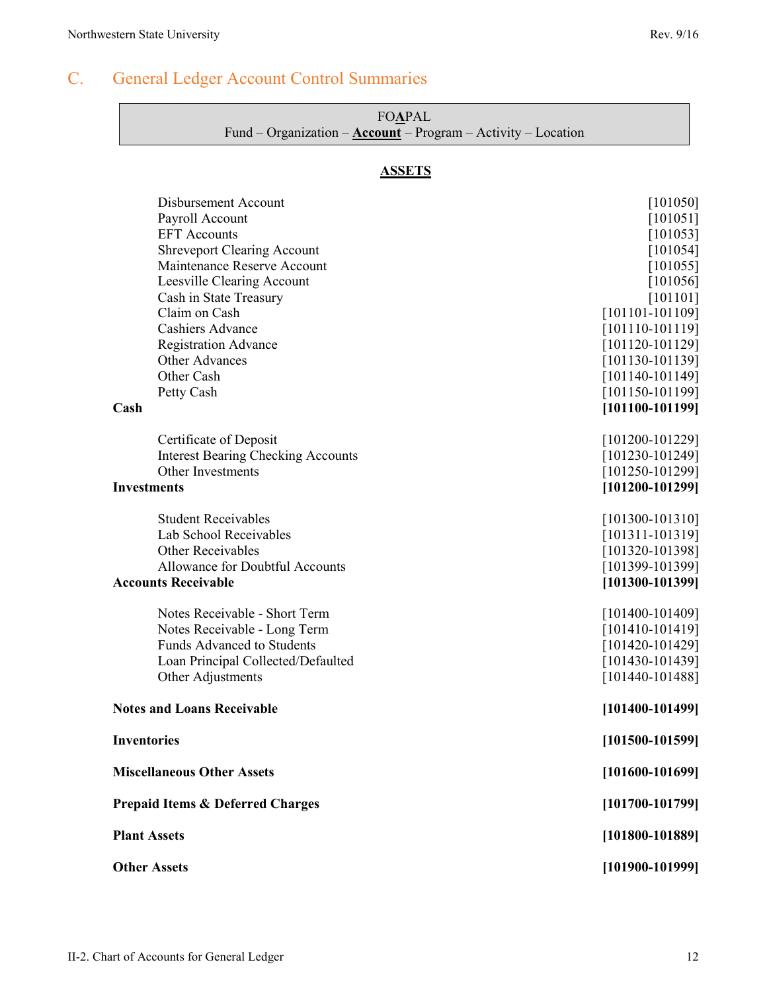### <span id="page-4-0"></span>C. General Ledger Account Control Summaries

| <b>FOAPAL</b>                                                   |  |
|-----------------------------------------------------------------|--|
| Fund – Organization – $Account - Program - Activity - Location$ |  |

#### **ASSETS**

| <b>Disbursement Account</b>                 | [101050]            |
|---------------------------------------------|---------------------|
| Payroll Account                             | [101051]            |
| <b>EFT</b> Accounts                         | [101053]            |
| <b>Shreveport Clearing Account</b>          | [101054]            |
| Maintenance Reserve Account                 | [101055]            |
| Leesville Clearing Account                  | [101056]            |
| Cash in State Treasury                      | [101101]            |
| Claim on Cash                               | $[101101 - 101109]$ |
| Cashiers Advance                            | $[101110-101119]$   |
| <b>Registration Advance</b>                 | $[101120-101129]$   |
| Other Advances                              | $[101130-101139]$   |
| Other Cash                                  | $[101140-101149]$   |
| Petty Cash                                  | $[101150-101199]$   |
| Cash                                        | $[101100-101199]$   |
|                                             |                     |
| Certificate of Deposit                      | $[101200-101229]$   |
| <b>Interest Bearing Checking Accounts</b>   | $[101230-101249]$   |
| Other Investments                           | $[101250 - 101299]$ |
| <b>Investments</b>                          | $[101200-101299]$   |
| <b>Student Receivables</b>                  | $[101300 - 101310]$ |
| Lab School Receivables                      | $[101311 - 101319]$ |
| Other Receivables                           | $[101320-101398]$   |
| Allowance for Doubtful Accounts             | $[101399-101399]$   |
| <b>Accounts Receivable</b>                  | $[101300 - 101399]$ |
|                                             |                     |
| Notes Receivable - Short Term               | $[101400-101409]$   |
| Notes Receivable - Long Term                | $[101410-101419]$   |
| <b>Funds Advanced to Students</b>           | $[101420-101429]$   |
| Loan Principal Collected/Defaulted          | $[101430-101439]$   |
| Other Adjustments                           | $[101440 - 101488]$ |
| <b>Notes and Loans Receivable</b>           | $[101400 - 101499]$ |
| <b>Inventories</b>                          | $[101500-101599]$   |
| <b>Miscellaneous Other Assets</b>           | $[101600 - 101699]$ |
| <b>Prepaid Items &amp; Deferred Charges</b> | $[101700 - 101799]$ |
| <b>Plant Assets</b>                         | $[101800 - 101889]$ |
| <b>Other Assets</b>                         | $[101900 - 101999]$ |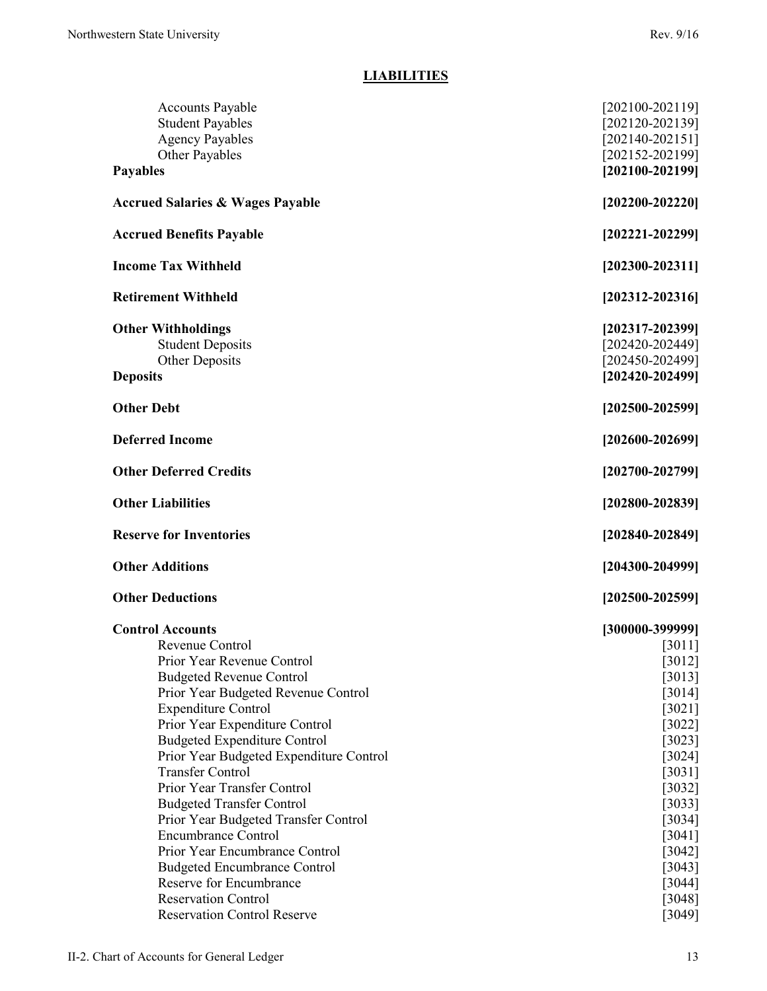#### **LIABILITIES**

| <b>Accounts Payable</b><br><b>Student Payables</b><br><b>Agency Payables</b><br>Other Payables | $[202100 - 202119]$<br>$[202120 - 202139]$<br>$[202140-202151]$<br>$[202152 - 202199]$ |
|------------------------------------------------------------------------------------------------|----------------------------------------------------------------------------------------|
| <b>Payables</b>                                                                                | $[202100 - 202199]$                                                                    |
| <b>Accrued Salaries &amp; Wages Payable</b>                                                    | $[202200 - 202220]$                                                                    |
| <b>Accrued Benefits Payable</b>                                                                | $[202221 - 202299]$                                                                    |
| <b>Income Tax Withheld</b>                                                                     | $[202300 - 202311]$                                                                    |
| <b>Retirement Withheld</b>                                                                     | $[202312 - 202316]$                                                                    |
| <b>Other Withholdings</b><br><b>Student Deposits</b><br>Other Deposits<br><b>Deposits</b>      | $[202317 - 202399]$<br>[202420-202449]<br>[202450-202499]<br>$[202420 - 202499]$       |
| <b>Other Debt</b>                                                                              | $[202500 - 202599]$                                                                    |
| <b>Deferred Income</b>                                                                         | $[202600 - 202699]$                                                                    |
| <b>Other Deferred Credits</b>                                                                  | $[202700 - 202799]$                                                                    |
| <b>Other Liabilities</b>                                                                       | $[202800 - 202839]$                                                                    |
| <b>Reserve for Inventories</b>                                                                 | $[202840 - 202849]$                                                                    |
| <b>Other Additions</b>                                                                         | $[204300 - 204999]$                                                                    |
| <b>Other Deductions</b>                                                                        | $[202500 - 202599]$                                                                    |
| <b>Control Accounts</b>                                                                        | $[300000-399999]$                                                                      |
| Revenue Control                                                                                | [3011]                                                                                 |
| Prior Year Revenue Control                                                                     | [3012]                                                                                 |
| <b>Budgeted Revenue Control</b>                                                                | $[3013]$                                                                               |
| Prior Year Budgeted Revenue Control                                                            | [3014]                                                                                 |
| <b>Expenditure Control</b>                                                                     | $[3021]$                                                                               |
| Prior Year Expenditure Control                                                                 | $[3022]$                                                                               |
| <b>Budgeted Expenditure Control</b>                                                            | $[3023]$                                                                               |
| Prior Year Budgeted Expenditure Control                                                        | $[3024]$                                                                               |
| <b>Transfer Control</b>                                                                        | $[3031]$                                                                               |
| Prior Year Transfer Control                                                                    | $[3032]$                                                                               |
| <b>Budgeted Transfer Control</b>                                                               | $[3033]$                                                                               |
| Prior Year Budgeted Transfer Control                                                           | $[3034]$                                                                               |
| <b>Encumbrance Control</b>                                                                     | $[3041]$                                                                               |
| Prior Year Encumbrance Control                                                                 | $[3042]$                                                                               |
| <b>Budgeted Encumbrance Control</b>                                                            |                                                                                        |
|                                                                                                | $[3043]$                                                                               |
| Reserve for Encumbrance                                                                        | $[3044]$                                                                               |
| <b>Reservation Control</b><br><b>Reservation Control Reserve</b>                               | $[3048]$<br>[3049]                                                                     |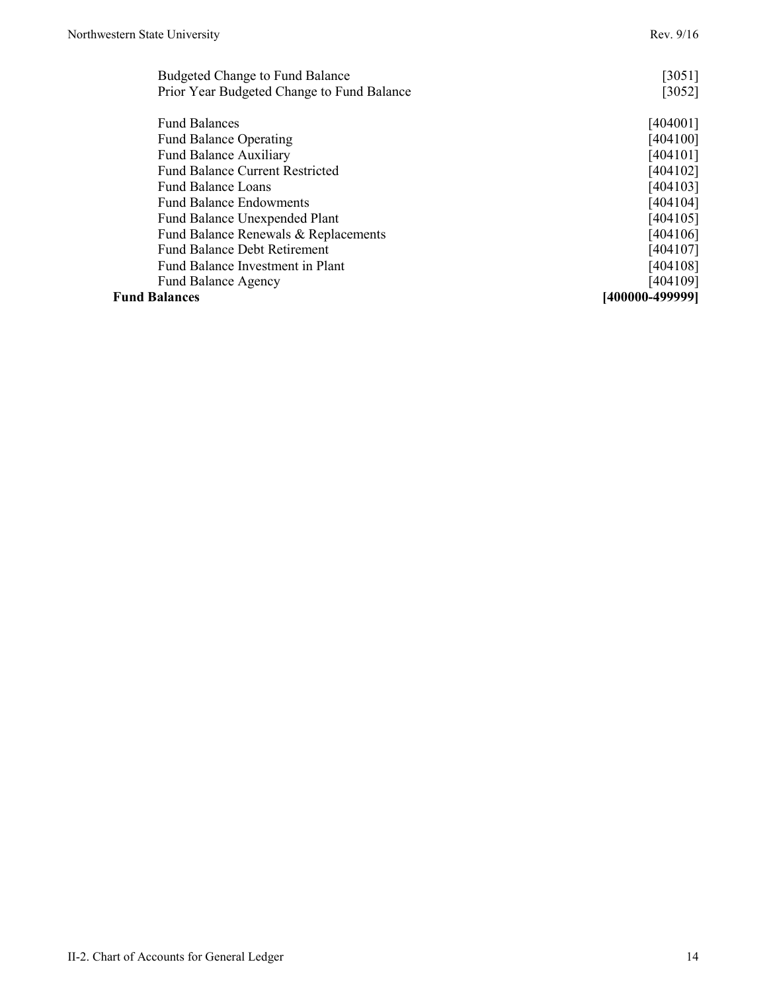| Budgeted Change to Fund Balance            | [3051]          |
|--------------------------------------------|-----------------|
| Prior Year Budgeted Change to Fund Balance | $[3052]$        |
| <b>Fund Balances</b>                       | [404001]        |
| <b>Fund Balance Operating</b>              | [404100]        |
| Fund Balance Auxiliary                     | [404101]        |
| <b>Fund Balance Current Restricted</b>     | [404102]        |
| <b>Fund Balance Loans</b>                  | [404103]        |
| <b>Fund Balance Endowments</b>             | [404104]        |
| <b>Fund Balance Unexpended Plant</b>       | [404105]        |
| Fund Balance Renewals & Replacements       | [404106]        |
| <b>Fund Balance Debt Retirement</b>        | [404107]        |
| Fund Balance Investment in Plant           | [404108]        |
| <b>Fund Balance Agency</b>                 | [404109]        |
| <b>Fund Balances</b>                       | [400000-499999] |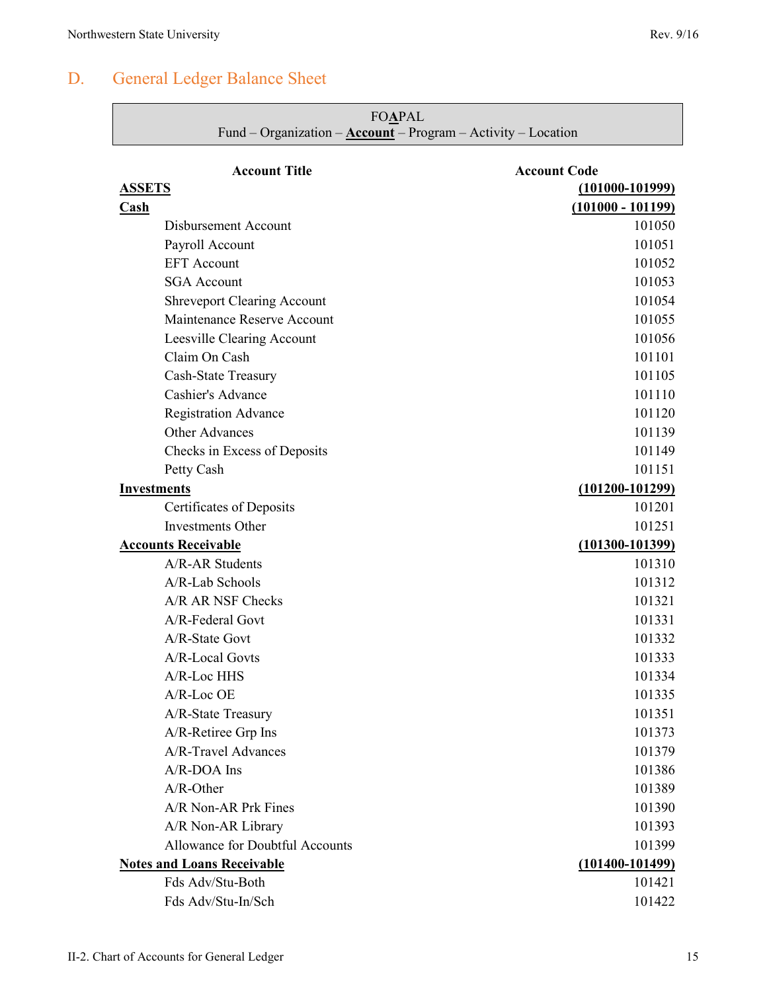<span id="page-7-0"></span>

|                          | <b>FOAPAL</b><br>Fund – Organization – ${\underline{\text{Account}}}$ – Program – Activity – Location |                     |
|--------------------------|-------------------------------------------------------------------------------------------------------|---------------------|
|                          | <b>Account Title</b>                                                                                  | <b>Account Code</b> |
| <b>ASSETS</b>            |                                                                                                       | $(101000 - 101999)$ |
| $\overline{\text{Cash}}$ |                                                                                                       | $(101000 - 101199)$ |
|                          | Disbursement Account                                                                                  | 101050              |
|                          | Payroll Account                                                                                       | 101051              |
|                          | <b>EFT</b> Account                                                                                    | 101052              |
|                          | <b>SGA</b> Account                                                                                    | 101053              |
|                          | <b>Shreveport Clearing Account</b>                                                                    | 101054              |
|                          | Maintenance Reserve Account                                                                           | 101055              |
|                          | Leesville Clearing Account                                                                            | 101056              |
|                          | Claim On Cash                                                                                         | 101101              |
|                          | Cash-State Treasury                                                                                   | 101105              |
|                          | Cashier's Advance                                                                                     | 101110              |
|                          | <b>Registration Advance</b>                                                                           | 101120              |
|                          | <b>Other Advances</b>                                                                                 | 101139              |
|                          | Checks in Excess of Deposits                                                                          | 101149              |
|                          | Petty Cash                                                                                            | 101151              |
|                          | <b>Investments</b>                                                                                    | $(101200 - 101299)$ |
|                          | Certificates of Deposits                                                                              | 101201              |
|                          | <b>Investments Other</b>                                                                              | 101251              |
|                          | <b>Accounts Receivable</b>                                                                            | $(101300 - 101399)$ |
|                          | A/R-AR Students                                                                                       | 101310              |
|                          | $A/R$ -Lab Schools                                                                                    | 101312              |
|                          | A/R AR NSF Checks                                                                                     | 101321              |
|                          | A/R-Federal Govt                                                                                      | 101331              |
|                          | A/R-State Govt                                                                                        | 101332              |
|                          | A/R-Local Govts                                                                                       | 101333              |
|                          | A/R-Loc HHS                                                                                           | 101334              |
|                          | A/R-Loc OE                                                                                            | 101335              |
|                          | A/R-State Treasury                                                                                    | 101351              |
|                          | A/R-Retiree Grp Ins                                                                                   | 101373              |
|                          | A/R-Travel Advances                                                                                   | 101379              |
|                          | $A/R$ -DOA Ins                                                                                        | 101386              |
|                          | A/R-Other                                                                                             | 101389              |
|                          | A/R Non-AR Prk Fines                                                                                  | 101390              |
|                          | A/R Non-AR Library                                                                                    | 101393              |
|                          | Allowance for Doubtful Accounts                                                                       | 101399              |
|                          | <b>Notes and Loans Receivable</b>                                                                     | $(101400 - 101499)$ |
|                          | Fds Adv/Stu-Both                                                                                      | 101421              |
|                          | Fds Adv/Stu-In/Sch                                                                                    | 101422              |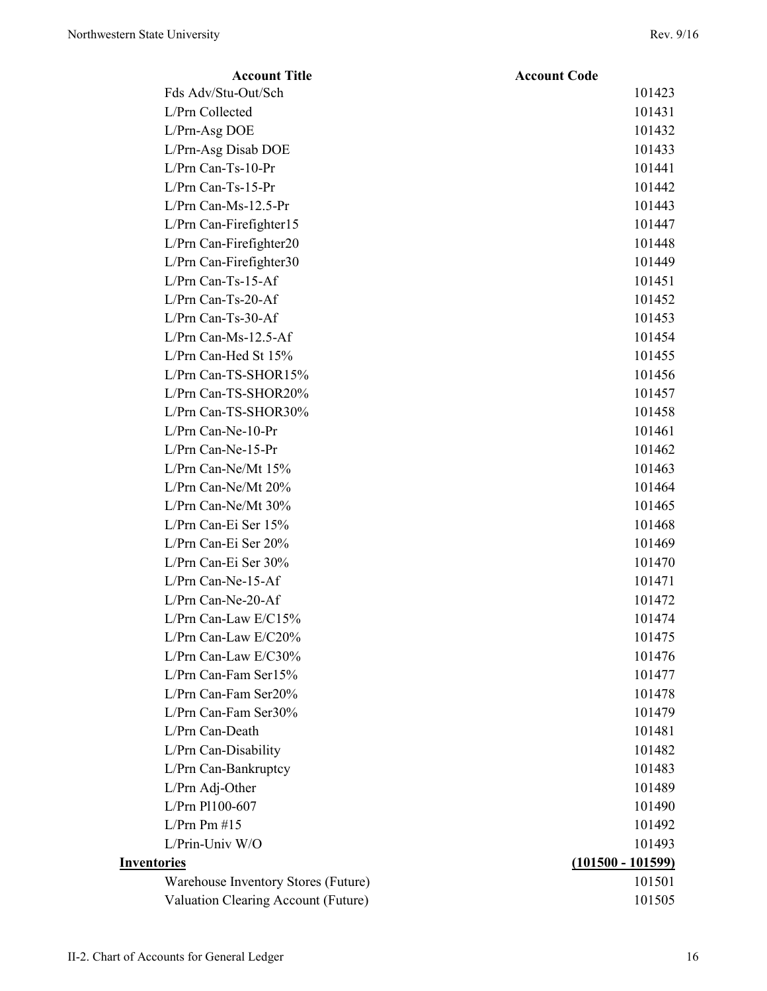| <b>Account Title</b>                | <b>Account Code</b> |
|-------------------------------------|---------------------|
| Fds Adv/Stu-Out/Sch                 | 101423              |
| L/Prn Collected                     | 101431              |
| L/Prn-Asg DOE                       | 101432              |
| L/Prn-Asg Disab DOE                 | 101433              |
| $L/Prn$ Can-Ts-10-Pr                | 101441              |
| $L/Prn$ Can-Ts-15-Pr                | 101442              |
| L/Prn Can-Ms-12.5-Pr                | 101443              |
| L/Prn Can-Firefighter15             | 101447              |
| L/Prn Can-Firefighter20             | 101448              |
| L/Prn Can-Firefighter30             | 101449              |
| L/Prn Can-Ts-15-Af                  | 101451              |
| L/Prn Can-Ts-20-Af                  | 101452              |
| L/Prn Can-Ts-30-Af                  | 101453              |
| $L/Prn$ Can-Ms-12.5-Af              | 101454              |
| L/Prn Can-Hed St 15%                | 101455              |
| L/Prn Can-TS-SHOR15%                | 101456              |
| L/Prn Can-TS-SHOR20%                | 101457              |
| L/Prn Can-TS-SHOR30%                | 101458              |
| L/Prn Can-Ne-10-Pr                  | 101461              |
| $L/Prn$ Can-Ne-15-Pr                | 101462              |
| L/Prn Can-Ne/Mt 15%                 | 101463              |
| L/Prn Can-Ne/Mt 20%                 | 101464              |
| L/Prn Can-Ne/Mt 30%                 | 101465              |
| L/Prn Can-Ei Ser 15%                | 101468              |
| L/Prn Can-Ei Ser 20%                | 101469              |
| L/Prn Can-Ei Ser 30%                | 101470              |
| $L/Prn$ Can-Ne-15-Af                | 101471              |
| L/Prn Can-Ne-20-Af                  | 101472              |
| L/Prn Can-Law $E/C15%$              | 101474              |
| L/Prn Can-Law E/C20%                | 101475              |
| L/Prn Can-Law E/C30%                | 101476              |
| L/Prn Can-Fam Ser15%                | 101477              |
| L/Prn Can-Fam Ser20%                | 101478              |
| L/Prn Can-Fam Ser30%                | 101479              |
| L/Prn Can-Death                     | 101481              |
| L/Prn Can-Disability                | 101482              |
| L/Prn Can-Bankruptcy                | 101483              |
| L/Prn Adj-Other                     | 101489              |
| L/Prn Pl100-607                     | 101490              |
| L/Prn Pm #15                        | 101492              |
| L/Prin-Univ W/O                     | 101493              |
| <b>Inventories</b>                  | $(101500 - 101599)$ |
| Warehouse Inventory Stores (Future) | 101501              |
| Valuation Clearing Account (Future) | 101505              |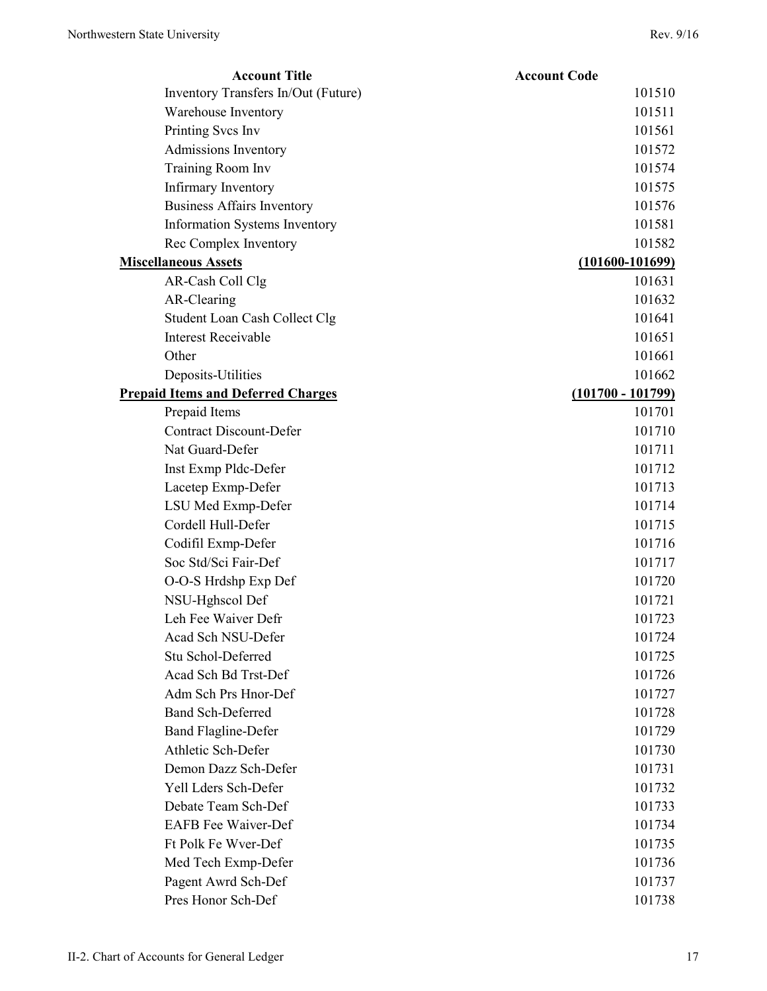| <b>Account Title</b>                      | <b>Account Code</b> |
|-------------------------------------------|---------------------|
| Inventory Transfers In/Out (Future)       | 101510              |
| Warehouse Inventory                       | 101511              |
| Printing Svcs Inv                         | 101561              |
| Admissions Inventory                      | 101572              |
| Training Room Inv                         | 101574              |
| Infirmary Inventory                       | 101575              |
| <b>Business Affairs Inventory</b>         | 101576              |
| Information Systems Inventory             | 101581              |
| Rec Complex Inventory                     | 101582              |
| <b>Miscellaneous Assets</b>               | $(101600 - 101699)$ |
| AR-Cash Coll Clg                          | 101631              |
| AR-Clearing                               | 101632              |
| Student Loan Cash Collect Clg             | 101641              |
| <b>Interest Receivable</b>                | 101651              |
| Other                                     | 101661              |
| Deposits-Utilities                        | 101662              |
| <b>Prepaid Items and Deferred Charges</b> | $(101700 - 101799)$ |
| Prepaid Items                             | 101701              |
| <b>Contract Discount-Defer</b>            | 101710              |
| Nat Guard-Defer                           | 101711              |
| Inst Exmp Pldc-Defer                      | 101712              |
| Lacetep Exmp-Defer                        | 101713              |
| LSU Med Exmp-Defer                        | 101714              |
| Cordell Hull-Defer                        | 101715              |
| Codifil Exmp-Defer                        | 101716              |
| Soc Std/Sci Fair-Def                      | 101717              |
| O-O-S Hrdshp Exp Def                      | 101720              |
| NSU-Hghscol Def                           | 101721              |
| Leh Fee Waiver Defr                       | 101723              |
| Acad Sch NSU-Defer                        | 101724              |
| Stu Schol-Deferred                        | 101725              |
| Acad Sch Bd Trst-Def                      | 101726              |
| Adm Sch Prs Hnor-Def                      | 101727              |
| <b>Band Sch-Deferred</b>                  | 101728              |
| <b>Band Flagline-Defer</b>                | 101729              |
| Athletic Sch-Defer                        | 101730              |
| Demon Dazz Sch-Defer                      | 101731              |
| Yell Lders Sch-Defer                      | 101732              |
| Debate Team Sch-Def                       | 101733              |
| <b>EAFB</b> Fee Waiver-Def                | 101734              |
| Ft Polk Fe Wver-Def                       | 101735              |
| Med Tech Exmp-Defer                       | 101736              |
| Pagent Awrd Sch-Def                       | 101737              |
| Pres Honor Sch-Def                        | 101738              |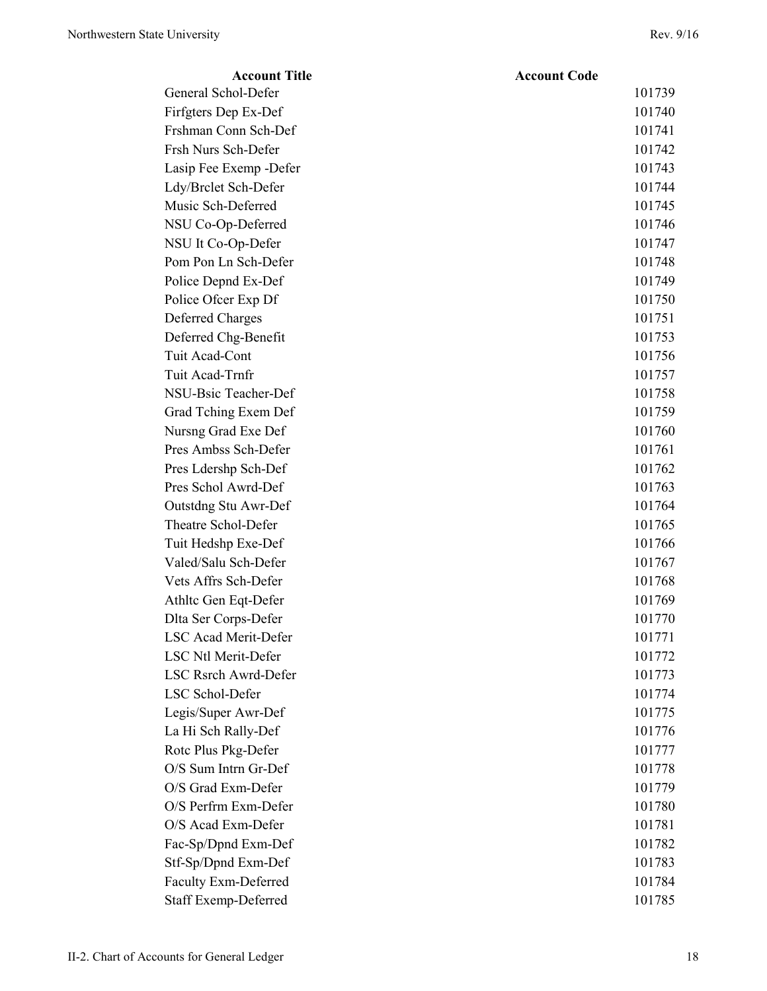| <b>Account Title</b>        | <b>Account Code</b> |
|-----------------------------|---------------------|
| General Schol-Defer         | 101739              |
| Firfgters Dep Ex-Def        | 101740              |
| Frshman Conn Sch-Def        | 101741              |
| Frsh Nurs Sch-Defer         | 101742              |
| Lasip Fee Exemp - Defer     | 101743              |
| Ldy/Brclet Sch-Defer        | 101744              |
| Music Sch-Deferred          | 101745              |
| NSU Co-Op-Deferred          | 101746              |
| NSU It Co-Op-Defer          | 101747              |
| Pom Pon Ln Sch-Defer        | 101748              |
| Police Depnd Ex-Def         | 101749              |
| Police Ofcer Exp Df         | 101750              |
| <b>Deferred Charges</b>     | 101751              |
| Deferred Chg-Benefit        | 101753              |
| Tuit Acad-Cont              | 101756              |
| Tuit Acad-Trnfr             | 101757              |
| NSU-Bsic Teacher-Def        | 101758              |
| Grad Tching Exem Def        | 101759              |
| Nursng Grad Exe Def         | 101760              |
| Pres Ambss Sch-Defer        | 101761              |
| Pres Ldershp Sch-Def        | 101762              |
| Pres Schol Awrd-Def         | 101763              |
| Outstdng Stu Awr-Def        | 101764              |
| Theatre Schol-Defer         | 101765              |
| Tuit Hedshp Exe-Def         | 101766              |
| Valed/Salu Sch-Defer        | 101767              |
| Vets Affrs Sch-Defer        | 101768              |
| Athltc Gen Eqt-Defer        | 101769              |
| Dlta Ser Corps-Defer        | 101770              |
| LSC Acad Merit-Defer        | 101771              |
| <b>LSC Ntl Merit-Defer</b>  | 101772              |
| LSC Rsrch Awrd-Defer        | 101773              |
| LSC Schol-Defer             | 101774              |
| Legis/Super Awr-Def         | 101775              |
| La Hi Sch Rally-Def         | 101776              |
| Rotc Plus Pkg-Defer         | 101777              |
| O/S Sum Intrn Gr-Def        | 101778              |
| O/S Grad Exm-Defer          | 101779              |
| O/S Perfrm Exm-Defer        | 101780              |
| O/S Acad Exm-Defer          | 101781              |
| Fac-Sp/Dpnd Exm-Def         | 101782              |
| Stf-Sp/Dpnd Exm-Def         | 101783              |
| <b>Faculty Exm-Deferred</b> | 101784              |
| <b>Staff Exemp-Deferred</b> | 101785              |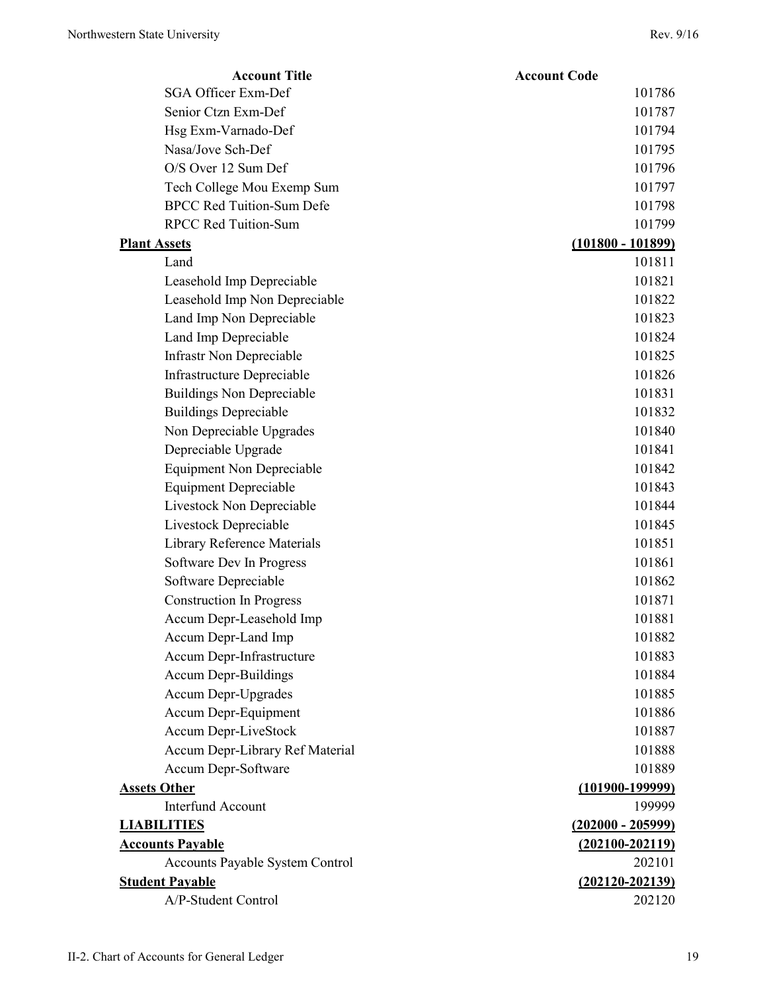| <b>Account Title</b>             | <b>Account Code</b> |
|----------------------------------|---------------------|
| SGA Officer Exm-Def              | 101786              |
| Senior Ctzn Exm-Def              | 101787              |
| Hsg Exm-Varnado-Def              | 101794              |
| Nasa/Jove Sch-Def                | 101795              |
| O/S Over 12 Sum Def              | 101796              |
| Tech College Mou Exemp Sum       | 101797              |
| <b>BPCC Red Tuition-Sum Defe</b> | 101798              |
| <b>RPCC Red Tuition-Sum</b>      | 101799              |
| <b>Plant Assets</b>              | $(101800 - 101899)$ |
| Land                             | 101811              |
| Leasehold Imp Depreciable        | 101821              |
| Leasehold Imp Non Depreciable    | 101822              |
| Land Imp Non Depreciable         | 101823              |
| Land Imp Depreciable             | 101824              |
| Infrastr Non Depreciable         | 101825              |
| Infrastructure Depreciable       | 101826              |
| <b>Buildings Non Depreciable</b> | 101831              |
| <b>Buildings Depreciable</b>     | 101832              |
| Non Depreciable Upgrades         | 101840              |
| Depreciable Upgrade              | 101841              |
| <b>Equipment Non Depreciable</b> | 101842              |
| <b>Equipment Depreciable</b>     | 101843              |
| Livestock Non Depreciable        | 101844              |
| Livestock Depreciable            | 101845              |
| Library Reference Materials      | 101851              |
| Software Dev In Progress         | 101861              |
| Software Depreciable             | 101862              |
| <b>Construction In Progress</b>  | 101871              |
| Accum Depr-Leasehold Imp         | 101881              |
| Accum Depr-Land Imp              | 101882              |
| Accum Depr-Infrastructure        | 101883              |
| <b>Accum Depr-Buildings</b>      | 101884              |
| Accum Depr-Upgrades              | 101885              |
| Accum Depr-Equipment             | 101886              |
| Accum Depr-LiveStock             | 101887              |
| Accum Depr-Library Ref Material  | 101888              |
| Accum Depr-Software              | 101889              |
| <b>Assets Other</b>              | $(101900 - 199999)$ |
| <b>Interfund Account</b>         | 199999              |
| <b>LIABILITIES</b>               | $(202000 - 205999)$ |
| <b>Accounts Payable</b>          | $(202100 - 202119)$ |
| Accounts Payable System Control  | 202101              |
| <b>Student Payable</b>           | $(202120 - 202139)$ |
| A/P-Student Control              | 202120              |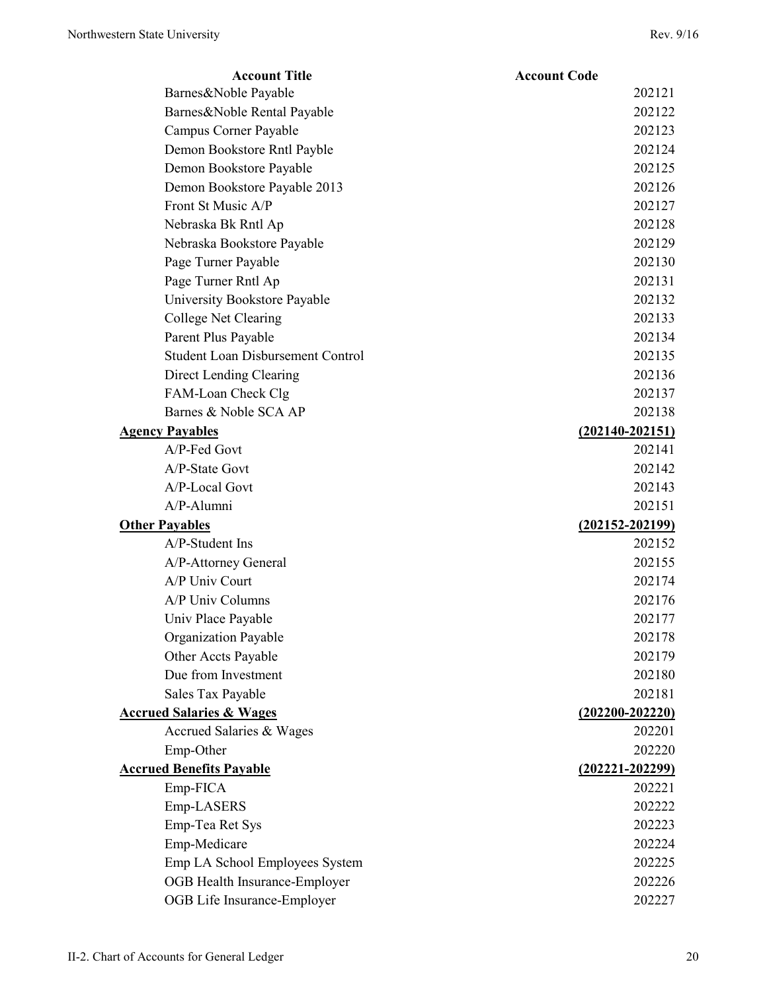| <b>Account Title</b>                | <b>Account Code</b> |
|-------------------------------------|---------------------|
| Barnes&Noble Payable                | 202121              |
| Barnes&Noble Rental Payable         | 202122              |
| Campus Corner Payable               | 202123              |
| Demon Bookstore Rntl Payble         | 202124              |
| Demon Bookstore Payable             | 202125              |
| Demon Bookstore Payable 2013        | 202126              |
| Front St Music A/P                  | 202127              |
| Nebraska Bk Rntl Ap                 | 202128              |
| Nebraska Bookstore Payable          | 202129              |
| Page Turner Payable                 | 202130              |
| Page Turner Rntl Ap                 | 202131              |
| University Bookstore Payable        | 202132              |
| College Net Clearing                | 202133              |
| Parent Plus Payable                 | 202134              |
| Student Loan Disbursement Control   | 202135              |
| Direct Lending Clearing             | 202136              |
| FAM-Loan Check Clg                  | 202137              |
| Barnes & Noble SCA AP               | 202138              |
| <b>Agency Payables</b>              | $(202140 - 202151)$ |
| A/P-Fed Govt                        | 202141              |
| A/P-State Govt                      | 202142              |
| A/P-Local Govt                      | 202143              |
| A/P-Alumni                          | 202151              |
| <b>Other Payables</b>               | $(202152 - 202199)$ |
| A/P-Student Ins                     | 202152              |
| A/P-Attorney General                | 202155              |
| A/P Univ Court                      | 202174              |
| A/P Univ Columns                    | 202176              |
| Univ Place Payable                  | 202177              |
| Organization Payable                | 202178              |
| Other Accts Payable                 | 202179              |
| Due from Investment                 | 202180              |
| Sales Tax Payable                   | 202181              |
| <b>Accrued Salaries &amp; Wages</b> | $(202200 - 202220)$ |
| Accrued Salaries & Wages            | 202201              |
| Emp-Other                           | 202220              |
| <b>Accrued Benefits Payable</b>     | $(202221 - 202299)$ |
| Emp-FICA                            | 202221              |
| Emp-LASERS                          | 202222              |
| Emp-Tea Ret Sys                     | 202223              |
| Emp-Medicare                        | 202224              |
| Emp LA School Employees System      | 202225              |
| OGB Health Insurance-Employer       | 202226              |
| OGB Life Insurance-Employer         | 202227              |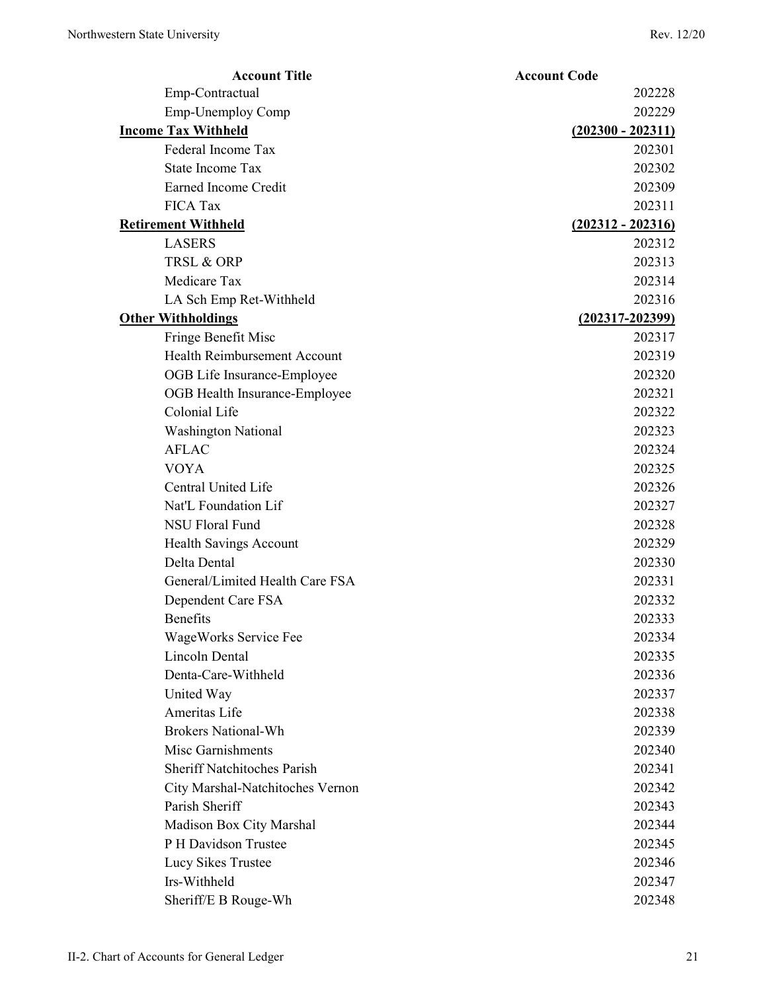| <b>Account Title</b>                | <b>Account Code</b> |
|-------------------------------------|---------------------|
| Emp-Contractual                     | 202228              |
| Emp-Unemploy Comp                   | 202229              |
| <b>Income Tax Withheld</b>          | $(202300 - 202311)$ |
| Federal Income Tax                  | 202301              |
| <b>State Income Tax</b>             | 202302              |
| Earned Income Credit                | 202309              |
| <b>FICA Tax</b>                     | 202311              |
| <b>Retirement Withheld</b>          | $(202312 - 202316)$ |
| <b>LASERS</b>                       | 202312              |
| TRSL & ORP                          | 202313              |
| Medicare Tax                        | 202314              |
| LA Sch Emp Ret-Withheld             | 202316              |
| <b>Other Withholdings</b>           | $(202317 - 202399)$ |
| Fringe Benefit Misc                 | 202317              |
| <b>Health Reimbursement Account</b> | 202319              |
| OGB Life Insurance-Employee         | 202320              |
| OGB Health Insurance-Employee       | 202321              |
| Colonial Life                       | 202322              |
| <b>Washington National</b>          | 202323              |
| <b>AFLAC</b>                        | 202324              |
| <b>VOYA</b>                         | 202325              |
| Central United Life                 | 202326              |
| Nat'L Foundation Lif                | 202327              |
| <b>NSU Floral Fund</b>              | 202328              |
| Health Savings Account              | 202329              |
| Delta Dental                        | 202330              |
| General/Limited Health Care FSA     | 202331              |
| Dependent Care FSA                  | 202332              |
| <b>Benefits</b>                     | 202333              |
| WageWorks Service Fee               | 202334              |
| <b>Lincoln Dental</b>               | 202335              |
| Denta-Care-Withheld                 | 202336              |
| United Way                          | 202337              |
| Ameritas Life                       | 202338              |
| <b>Brokers National-Wh</b>          | 202339              |
| Misc Garnishments                   | 202340              |
| <b>Sheriff Natchitoches Parish</b>  | 202341              |
| City Marshal-Natchitoches Vernon    | 202342              |
| Parish Sheriff                      | 202343              |
| Madison Box City Marshal            | 202344              |
| P H Davidson Trustee                | 202345              |
| Lucy Sikes Trustee                  | 202346              |
| Irs-Withheld                        | 202347              |
| Sheriff/E B Rouge-Wh                | 202348              |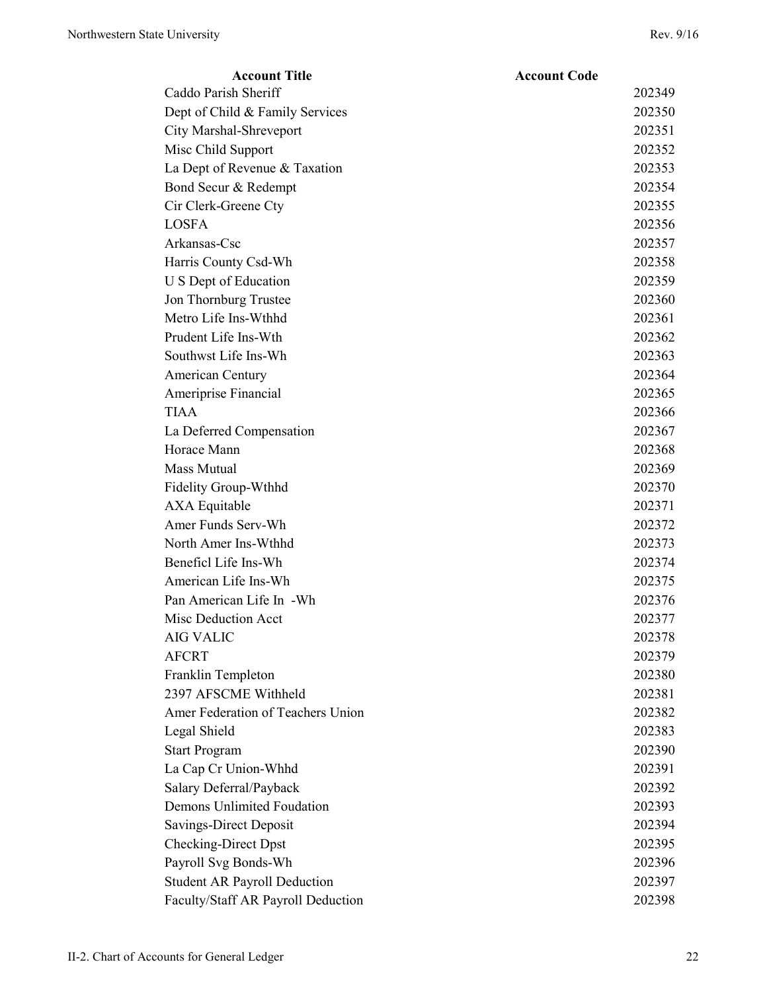| <b>Account Title</b>                | <b>Account Code</b> |
|-------------------------------------|---------------------|
| Caddo Parish Sheriff                | 202349              |
| Dept of Child & Family Services     | 202350              |
| City Marshal-Shreveport             | 202351              |
| Misc Child Support                  | 202352              |
| La Dept of Revenue & Taxation       | 202353              |
| Bond Secur & Redempt                | 202354              |
| Cir Clerk-Greene Cty                | 202355              |
| <b>LOSFA</b>                        | 202356              |
| Arkansas-Csc                        | 202357              |
| Harris County Csd-Wh                | 202358              |
| U S Dept of Education               | 202359              |
| Jon Thornburg Trustee               | 202360              |
| Metro Life Ins-Wthhd                | 202361              |
| Prudent Life Ins-Wth                | 202362              |
| Southwst Life Ins-Wh                | 202363              |
| American Century                    | 202364              |
| Ameriprise Financial                | 202365              |
| <b>TIAA</b>                         | 202366              |
| La Deferred Compensation            | 202367              |
| Horace Mann                         | 202368              |
| <b>Mass Mutual</b>                  | 202369              |
| Fidelity Group-Wthhd                | 202370              |
| AXA Equitable                       | 202371              |
| Amer Funds Serv-Wh                  | 202372              |
| North Amer Ins-Wthhd                | 202373              |
| Beneficl Life Ins-Wh                | 202374              |
| American Life Ins-Wh                | 202375              |
| Pan American Life In -Wh            | 202376              |
| Misc Deduction Acct                 | 202377              |
| <b>AIG VALIC</b>                    | 202378              |
| <b>AFCRT</b>                        | 202379              |
| Franklin Templeton                  | 202380              |
| 2397 AFSCME Withheld                | 202381              |
| Amer Federation of Teachers Union   | 202382              |
| Legal Shield                        | 202383              |
| <b>Start Program</b>                | 202390              |
| La Cap Cr Union-Whhd                | 202391              |
| Salary Deferral/Payback             | 202392              |
| Demons Unlimited Foudation          | 202393              |
| Savings-Direct Deposit              | 202394              |
| <b>Checking-Direct Dpst</b>         | 202395              |
| Payroll Svg Bonds-Wh                | 202396              |
| <b>Student AR Payroll Deduction</b> | 202397              |
| Faculty/Staff AR Payroll Deduction  | 202398              |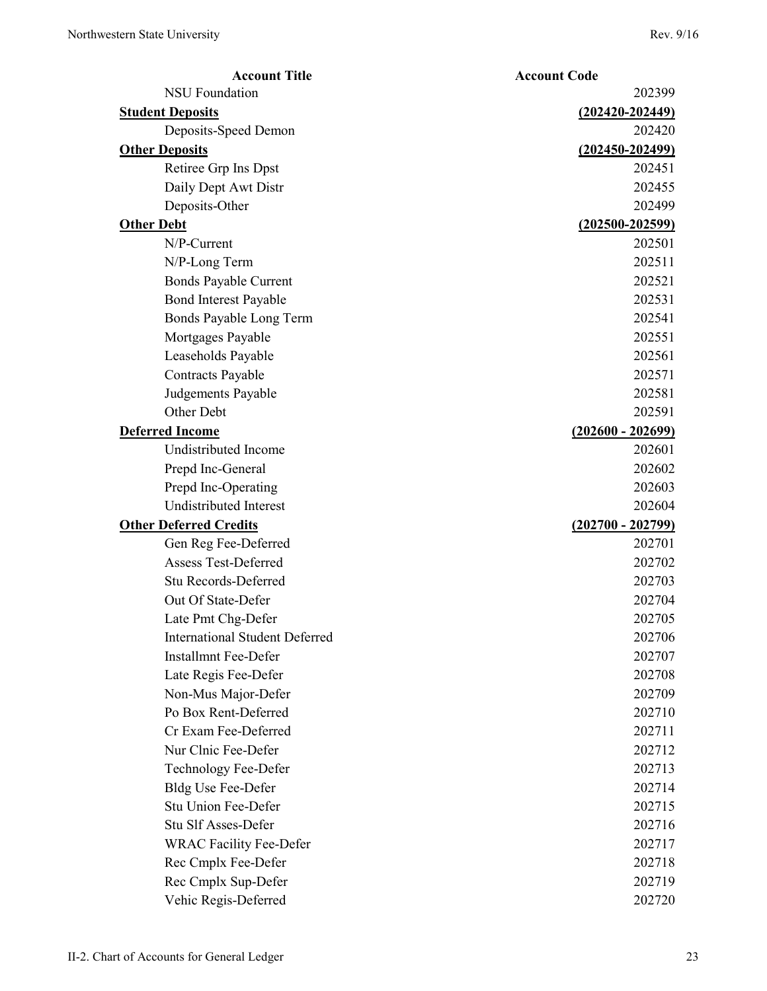| <b>Account Title</b>                  | <b>Account Code</b> |
|---------------------------------------|---------------------|
| <b>NSU Foundation</b>                 | 202399              |
| <b>Student Deposits</b>               | $(202420 - 202449)$ |
| Deposits-Speed Demon                  | 202420              |
| <b>Other Deposits</b>                 | $(202450 - 202499)$ |
| Retiree Grp Ins Dpst                  | 202451              |
| Daily Dept Awt Distr                  | 202455              |
| Deposits-Other                        | 202499              |
| <b>Other Debt</b>                     | $(202500 - 202599)$ |
| N/P-Current                           | 202501              |
| N/P-Long Term                         | 202511              |
| <b>Bonds Payable Current</b>          | 202521              |
| <b>Bond Interest Payable</b>          | 202531              |
| Bonds Payable Long Term               | 202541              |
| Mortgages Payable                     | 202551              |
| Leaseholds Payable                    | 202561              |
| Contracts Payable                     | 202571              |
| Judgements Payable                    | 202581              |
| Other Debt                            | 202591              |
| <b>Deferred Income</b>                | $(202600 - 202699)$ |
| Undistributed Income                  | 202601              |
| Prepd Inc-General                     | 202602              |
| Prepd Inc-Operating                   | 202603              |
| Undistributed Interest                | 202604              |
| <b>Other Deferred Credits</b>         | $(202700 - 202799)$ |
| Gen Reg Fee-Deferred                  | 202701              |
| <b>Assess Test-Deferred</b>           | 202702              |
| Stu Records-Deferred                  | 202703              |
| Out Of State-Defer                    | 202704              |
| Late Pmt Chg-Defer                    | 202705              |
| <b>International Student Deferred</b> | 202706              |
| <b>Installmnt Fee-Defer</b>           | 202707              |
| Late Regis Fee-Defer                  | 202708              |
| Non-Mus Major-Defer                   | 202709              |
| Po Box Rent-Deferred                  | 202710              |
| Cr Exam Fee-Deferred                  | 202711              |
| Nur Clnic Fee-Defer                   | 202712              |
| Technology Fee-Defer                  | 202713              |
| <b>Bldg Use Fee-Defer</b>             | 202714              |
| Stu Union Fee-Defer                   | 202715              |
| Stu Slf Asses-Defer                   | 202716              |
| <b>WRAC Facility Fee-Defer</b>        | 202717              |
| Rec Cmplx Fee-Defer                   | 202718              |
| Rec Cmplx Sup-Defer                   | 202719              |
| Vehic Regis-Deferred                  | 202720              |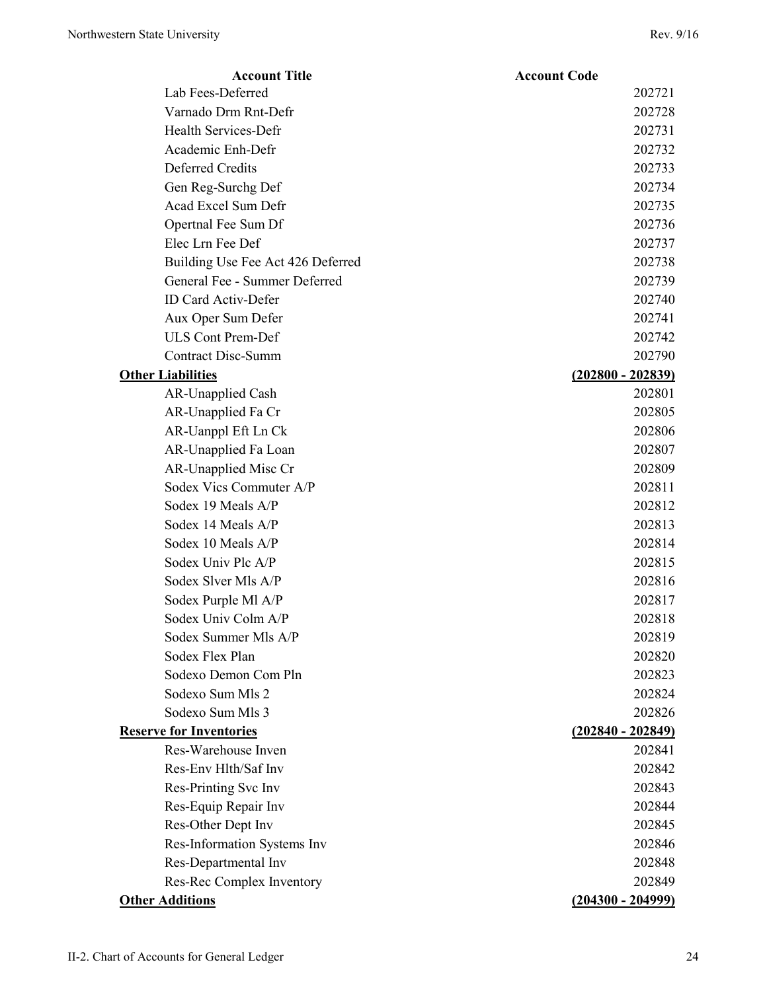| <b>Account Title</b>              | <b>Account Code</b> |
|-----------------------------------|---------------------|
| Lab Fees-Deferred                 | 202721              |
| Varnado Drm Rnt-Defr              | 202728              |
| Health Services-Defr              | 202731              |
| Academic Enh-Defr                 | 202732              |
| Deferred Credits                  | 202733              |
| Gen Reg-Surchg Def                | 202734              |
| Acad Excel Sum Defr               | 202735              |
| Opertnal Fee Sum Df               | 202736              |
| Elec Lrn Fee Def                  | 202737              |
| Building Use Fee Act 426 Deferred | 202738              |
| General Fee - Summer Deferred     | 202739              |
| <b>ID Card Activ-Defer</b>        | 202740              |
| Aux Oper Sum Defer                | 202741              |
| <b>ULS Cont Prem-Def</b>          | 202742              |
| <b>Contract Disc-Summ</b>         | 202790              |
| <b>Other Liabilities</b>          | $(202800 - 202839)$ |
| <b>AR-Unapplied Cash</b>          | 202801              |
| AR-Unapplied Fa Cr                | 202805              |
| AR-Uanppl Eft Ln Ck               | 202806              |
| AR-Unapplied Fa Loan              | 202807              |
| AR-Unapplied Misc Cr              | 202809              |
| Sodex Vics Commuter A/P           | 202811              |
| Sodex 19 Meals A/P                | 202812              |
| Sodex 14 Meals A/P                | 202813              |
| Sodex 10 Meals A/P                | 202814              |
| Sodex Univ Plc A/P                | 202815              |
| Sodex Slver Mls A/P               | 202816              |
| Sodex Purple Ml A/P               | 202817              |
| Sodex Univ Colm A/P               | 202818              |
| Sodex Summer Mls A/P              | 202819              |
| Sodex Flex Plan                   | 202820              |
| Sodexo Demon Com Pln              | 202823              |
| Sodexo Sum Mls 2                  | 202824              |
| Sodexo Sum Mls 3                  | 202826              |
| <b>Reserve for Inventories</b>    | $(202840 - 202849)$ |
| Res-Warehouse Inven               | 202841              |
| Res-Env Hlth/Saf Inv              | 202842              |
| Res-Printing Svc Inv              | 202843              |
| Res-Equip Repair Inv              | 202844              |
| Res-Other Dept Inv                | 202845              |
| Res-Information Systems Inv       | 202846              |
| Res-Departmental Inv              | 202848              |
| Res-Rec Complex Inventory         | 202849              |
| <b>Other Additions</b>            | $(204300 - 204999)$ |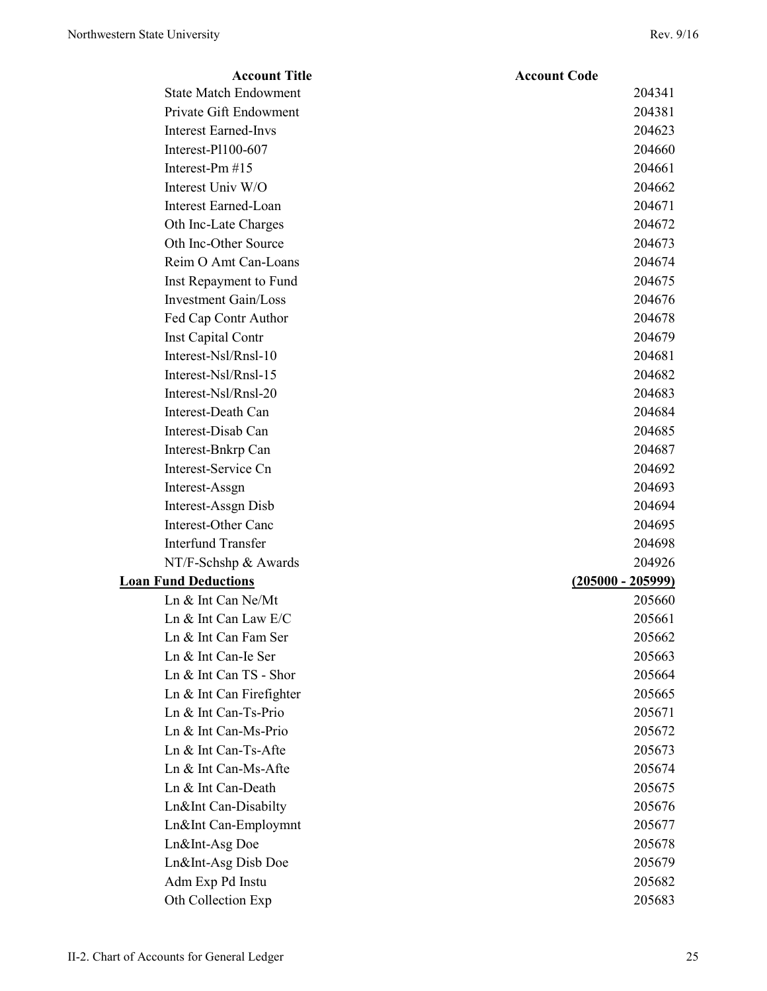| <b>Account Title</b>         | <b>Account Code</b> |
|------------------------------|---------------------|
| <b>State Match Endowment</b> | 204341              |
| Private Gift Endowment       | 204381              |
| <b>Interest Earned-Invs</b>  | 204623              |
| Interest-Pl100-607           | 204660              |
| Interest-Pm #15              | 204661              |
| Interest Univ W/O            | 204662              |
| <b>Interest Earned-Loan</b>  | 204671              |
| Oth Inc-Late Charges         | 204672              |
| Oth Inc-Other Source         | 204673              |
| Reim O Amt Can-Loans         | 204674              |
| Inst Repayment to Fund       | 204675              |
| <b>Investment Gain/Loss</b>  | 204676              |
| Fed Cap Contr Author         | 204678              |
| Inst Capital Contr           | 204679              |
| Interest-Nsl/Rnsl-10         | 204681              |
| Interest-Nsl/Rnsl-15         | 204682              |
| Interest-Nsl/Rnsl-20         | 204683              |
| Interest-Death Can           | 204684              |
| Interest-Disab Can           | 204685              |
| Interest-Bnkrp Can           | 204687              |
| Interest-Service Cn          | 204692              |
| Interest-Assgn               | 204693              |
| Interest-Assgn Disb          | 204694              |
| Interest-Other Canc          | 204695              |
| <b>Interfund Transfer</b>    | 204698              |
| NT/F-Schshp & Awards         | 204926              |
| <b>Loan Fund Deductions</b>  | $(205000 - 205999)$ |
| Ln & Int Can Ne/Mt           | 205660              |
| Ln & Int Can Law E/C         | 205661              |
| Ln & Int Can Fam Ser         | 205662              |
| Ln & Int Can-Ie Ser          | 205663              |
| Ln & Int Can TS - Shor       | 205664              |
| Ln & Int Can Firefighter     | 205665              |
| Ln & Int Can-Ts-Prio         | 205671              |
| Ln & Int Can-Ms-Prio         | 205672              |
| Ln & Int Can-Ts-Afte         | 205673              |
| Ln & Int Can-Ms-Afte         | 205674              |
| Ln & Int Can-Death           | 205675              |
| Ln∬ Can-Disabilty            | 205676              |
| Ln∬ Can-Employmnt            | 205677              |
| Ln&Int-Asg Doe               | 205678              |
| Ln&Int-Asg Disb Doe          | 205679              |
| Adm Exp Pd Instu             | 205682              |
| Oth Collection Exp           | 205683              |